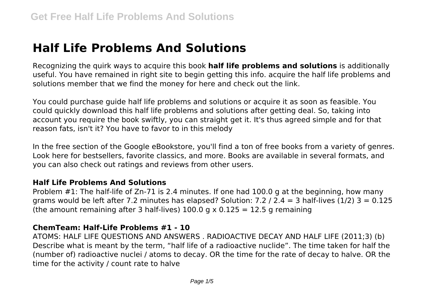# **Half Life Problems And Solutions**

Recognizing the quirk ways to acquire this book **half life problems and solutions** is additionally useful. You have remained in right site to begin getting this info. acquire the half life problems and solutions member that we find the money for here and check out the link.

You could purchase guide half life problems and solutions or acquire it as soon as feasible. You could quickly download this half life problems and solutions after getting deal. So, taking into account you require the book swiftly, you can straight get it. It's thus agreed simple and for that reason fats, isn't it? You have to favor to in this melody

In the free section of the Google eBookstore, you'll find a ton of free books from a variety of genres. Look here for bestsellers, favorite classics, and more. Books are available in several formats, and you can also check out ratings and reviews from other users.

#### **Half Life Problems And Solutions**

Problem #1: The half-life of Zn-71 is 2.4 minutes. If one had 100.0 g at the beginning, how many grams would be left after 7.2 minutes has elapsed? Solution: 7.2 / 2.4 = 3 half-lives  $(1/2)$  3 = 0.125 (the amount remaining after 3 half-lives)  $100.0$  g  $\times$  0.125 = 12.5 g remaining

#### **ChemTeam: Half-Life Problems #1 - 10**

ATOMS: HALF LIFE QUESTIONS AND ANSWERS . RADIOACTIVE DECAY AND HALF LIFE (2011;3) (b) Describe what is meant by the term, "half life of a radioactive nuclide". The time taken for half the (number of) radioactive nuclei / atoms to decay. OR the time for the rate of decay to halve. OR the time for the activity / count rate to halve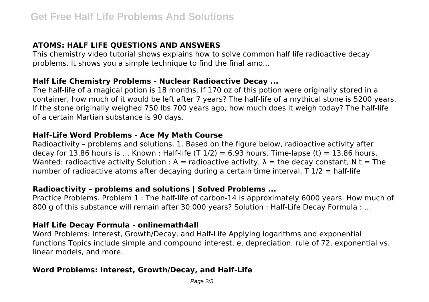# **ATOMS: HALF LIFE QUESTIONS AND ANSWERS**

This chemistry video tutorial shows explains how to solve common half life radioactive decay problems. It shows you a simple technique to find the final amo...

## **Half Life Chemistry Problems - Nuclear Radioactive Decay ...**

The half-life of a magical potion is 18 months. If 170 oz of this potion were originally stored in a container, how much of it would be left after 7 years? The half-life of a mythical stone is 5200 years. If the stone originally weighed 750 lbs 700 years ago, how much does it weigh today? The half-life of a certain Martian substance is 90 days.

## **Half-Life Word Problems - Ace My Math Course**

Radioactivity – problems and solutions. 1. Based on the figure below, radioactive activity after decay for 13.86 hours is ... Known : Half-life  $(T \ 1/2) = 6.93$  hours. Time-lapse (t) = 13.86 hours. Wanted: radioactive activity Solution : A = radioactive activity,  $\lambda$  = the decay constant, N t = The number of radioactive atoms after decaying during a certain time interval,  $T \frac{1}{2} = \text{half-life}$ 

## **Radioactivity – problems and solutions | Solved Problems ...**

Practice Problems. Problem 1 : The half-life of carbon-14 is approximately 6000 years. How much of 800 g of this substance will remain after 30,000 years? Solution : Half-Life Decay Formula : ...

## **Half Life Decay Formula - onlinemath4all**

Word Problems: Interest, Growth/Decay, and Half-Life Applying logarithms and exponential functions Topics include simple and compound interest, e, depreciation, rule of 72, exponential vs. linear models, and more.

## **Word Problems: Interest, Growth/Decay, and Half-Life**

Page 2/5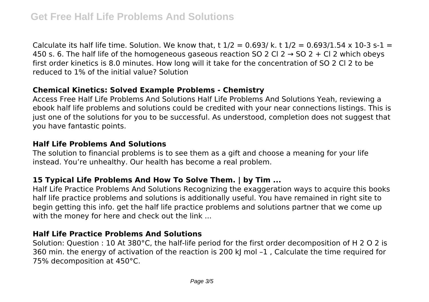Calculate its half life time. Solution. We know that, t  $1/2 = 0.693/k$ . t  $1/2 = 0.693/1.54 \times 10^{-3}$  s-1 = 450 s. 6. The half life of the homogeneous gaseous reaction SO 2 Cl 2  $\rightarrow$  SO 2 + Cl 2 which obeys first order kinetics is 8.0 minutes. How long will it take for the concentration of SO 2 Cl 2 to be reduced to 1% of the initial value? Solution

#### **Chemical Kinetics: Solved Example Problems - Chemistry**

Access Free Half Life Problems And Solutions Half Life Problems And Solutions Yeah, reviewing a ebook half life problems and solutions could be credited with your near connections listings. This is just one of the solutions for you to be successful. As understood, completion does not suggest that you have fantastic points.

#### **Half Life Problems And Solutions**

The solution to financial problems is to see them as a gift and choose a meaning for your life instead. You're unhealthy. Our health has become a real problem.

## **15 Typical Life Problems And How To Solve Them. | by Tim ...**

Half Life Practice Problems And Solutions Recognizing the exaggeration ways to acquire this books half life practice problems and solutions is additionally useful. You have remained in right site to begin getting this info. get the half life practice problems and solutions partner that we come up with the money for here and check out the link ...

## **Half Life Practice Problems And Solutions**

Solution: Question : 10 At 380°C, the half-life period for the first order decomposition of H 2 O 2 is 360 min. the energy of activation of the reaction is 200 kJ mol -1, Calculate the time required for 75% decomposition at 450°C.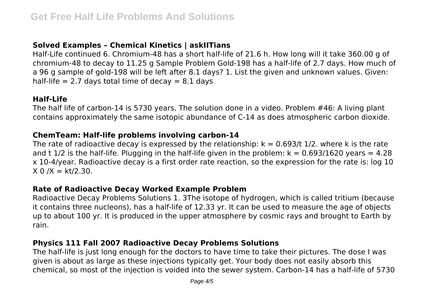## **Solved Examples – Chemical Kinetics | askIITians**

Half-Life continued 6. Chromium-48 has a short half-life of 21.6 h. How long will it take 360.00 g of chromium-48 to decay to 11.25 g Sample Problem Gold-198 has a half-life of 2.7 days. How much of a 96 g sample of gold-198 will be left after 8.1 days? 1. List the given and unknown values. Given: half-life  $= 2.7$  days total time of decay  $= 8.1$  days

#### **Half-Life**

The half life of carbon-14 is 5730 years. The solution done in a video. Problem #46: A living plant contains approximately the same isotopic abundance of C-14 as does atmospheric carbon dioxide.

#### **ChemTeam: Half-life problems involving carbon-14**

The rate of radioactive decay is expressed by the relationship:  $k = 0.693/t$  1/2. where k is the rate and t  $1/2$  is the half-life. Plugging in the half-life given in the problem:  $k = 0.693/1620$  years = 4.28 x 10-4/year. Radioactive decay is a first order rate reaction, so the expression for the rate is: log 10  $X = 0 / X = kt/2.30$ .

#### **Rate of Radioactive Decay Worked Example Problem**

Radioactive Decay Problems Solutions 1. 3The isotope of hydrogen, which is called tritium (because it contains three nucleons), has a half-life of 12.33 yr. It can be used to measure the age of objects up to about 100 yr. It is produced in the upper atmosphere by cosmic rays and brought to Earth by rain.

#### **Physics 111 Fall 2007 Radioactive Decay Problems Solutions**

The half-life is just long enough for the doctors to have time to take their pictures. The dose I was given is about as large as these injections typically get. Your body does not easily absorb this chemical, so most of the injection is voided into the sewer system. Carbon-14 has a half-life of 5730